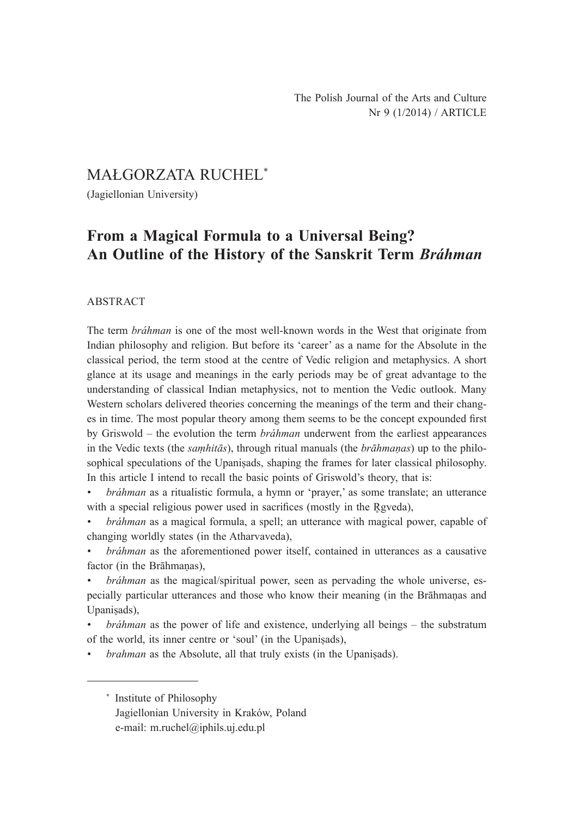MAŁGORZATA RUCHEL\*

(Jagiellonian University)

# **From a Magical Formula to a Universal Being? An Outline of the History of the Sanskrit Term** *Bráhman*

### ABSTRACT

The term *bráhman* is one of the most well-known words in the West that originate from Indian philosophy and religion. But before its 'career' as a name for the Absolute in the classical period, the term stood at the centre of Vedic religion and metaphysics. A short glance at its usage and meanings in the early periods may be of great advantage to the understanding of classical Indian metaphysics, not to mention the Vedic outlook. Many Western scholars delivered theories concerning the meanings of the term and their changes in time. The most popular theory among them seems to be the concept expounded first by Griswold ‒ the evolution the term *bráhman* underwent from the earliest appearances in the Vedic texts (the *saṃhitās*), through ritual manuals (the *brāhmaṇas*) up to the philosophical speculations of the Upaniṣads, shaping the frames for later classical philosophy. In this article I intend to recall the basic points of Griswold's theory, that is:

*• bráhman* as a ritualistic formula, a hymn or 'prayer,' as some translate; an utterance with a special religious power used in sacrifices (mostly in the Rgveda),

*• bráhman* as a magical formula, a spell; an utterance with magical power, capable of changing worldly states (in the Atharvaveda),

*• bráhman* as the aforementioned power itself, contained in utterances as a causative factor (in the Brāhmanas).

*bráhman* as the magical/spiritual power, seen as pervading the whole universe, especially particular utterances and those who know their meaning (in the Brāhmaṇas and Upaniṣads),

*• bráhman* as the power of life and existence, underlying all beings – the substratum of the world, its inner centre or 'soul' (in the Upaniṣads),

*• brahman* as the Absolute, all that truly exists (in the Upaniṣads).

\* Institute of Philosophy Jagiellonian University in Kraków, Poland e-mail: m.ruchel@iphils.uj.edu.pl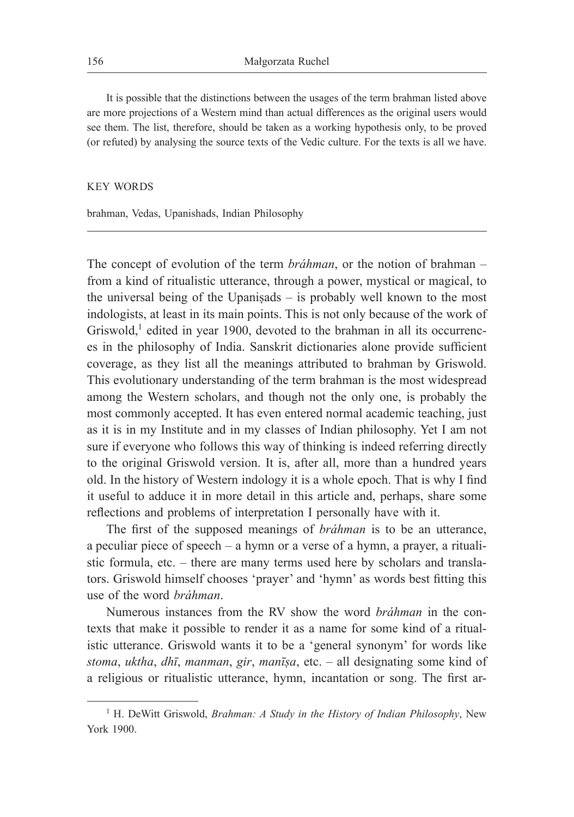It is possible that the distinctions between the usages of the term brahman listed above are more projections of a Western mind than actual differences as the original users would see them. The list, therefore, should be taken as a working hypothesis only, to be proved (or refuted) by analysing the source texts of the Vedic culture. For the texts is all we have.

#### KEY WORDS

brahman, Vedas, Upanishads, Indian Philosophy

The concept of evolution of the term *bráhman*, or the notion of brahman – from a kind of ritualistic utterance, through a power, mystical or magical, to the universal being of the Upaniṣads – is probably well known to the most indologists, at least in its main points. This is not only because of the work of Griswold, $<sup>1</sup>$  edited in year 1900, devoted to the brahman in all its occurrenc-</sup> es in the philosophy of India. Sanskrit dictionaries alone provide sufficient coverage, as they list all the meanings attributed to brahman by Griswold. This evolutionary understanding of the term brahman is the most widespread among the Western scholars, and though not the only one, is probably the most commonly accepted. It has even entered normal academic teaching, just as it is in my Institute and in my classes of Indian philosophy. Yet I am not sure if everyone who follows this way of thinking is indeed referring directly to the original Griswold version. It is, after all, more than a hundred years old. In the history of Western indology it is a whole epoch. That is why I find it useful to adduce it in more detail in this article and, perhaps, share some reflections and problems of interpretation I personally have with it.

The first of the supposed meanings of *bráhman* is to be an utterance, a peculiar piece of speech – a hymn or a verse of a hymn, a prayer, a ritualistic formula, etc. – there are many terms used here by scholars and translators. Griswold himself chooses 'prayer' and 'hymn' as words best fitting this use of the word *bráhman*.

Numerous instances from the RV show the word *bráhman* in the contexts that make it possible to render it as a name for some kind of a ritualistic utterance. Griswold wants it to be a 'general synonym' for words like *stoma*, *uktha*, *dhī*, *manman*, *gir*, *manīṣa*, etc. – all designating some kind of a religious or ritualistic utterance, hymn, incantation or song. The first ar-

<sup>&</sup>lt;sup>1</sup> H. DeWitt Griswold, *Brahman: A Study in the History of Indian Philosophy*, New York 1900.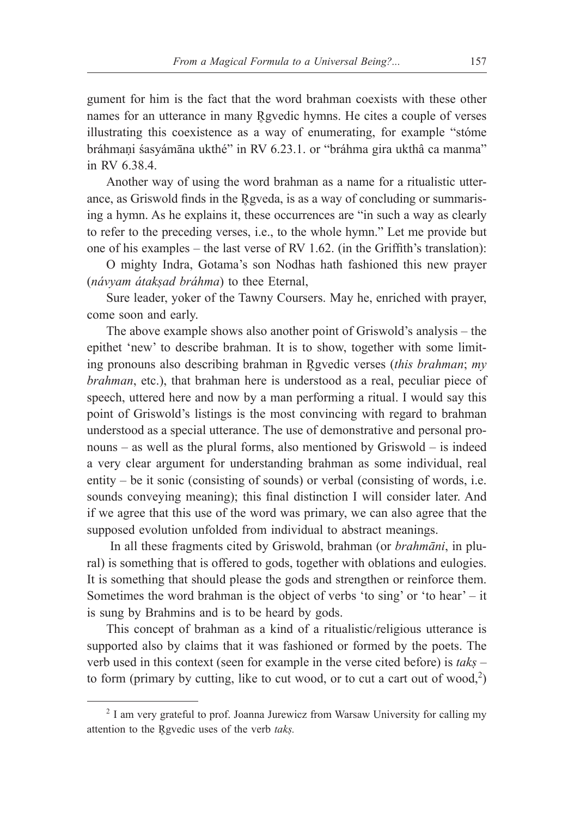gument for him is the fact that the word brahman coexists with these other names for an utterance in many Rgvedic hymns. He cites a couple of verses illustrating this coexistence as a way of enumerating, for example "stóme bráhmani śasyámāna ukthé" in RV 6.23.1. or "bráhma gira ukthâ ca manma" in RV 6.38.4.

Another way of using the word brahman as a name for a ritualistic utterance, as Griswold finds in the Rgveda, is as a way of concluding or summarising a hymn. As he explains it, these occurrences are "in such a way as clearly to refer to the preceding verses, i.e., to the whole hymn." Let me provide but one of his examples – the last verse of RV 1.62. (in the Griffith's translation):

O mighty Indra, Gotama's son Nodhas hath fashioned this new prayer (*návyam átakṣad bráhma*) to thee Eternal,

Sure leader, yoker of the Tawny Coursers. May he, enriched with prayer, come soon and early.

The above example shows also another point of Griswold's analysis – the epithet 'new' to describe brahman. It is to show, together with some limiting pronouns also describing brahman in Rgyedic verses (*this brahman*; *my brahman*, etc.), that brahman here is understood as a real, peculiar piece of speech, uttered here and now by a man performing a ritual. I would say this point of Griswold's listings is the most convincing with regard to brahman understood as a special utterance. The use of demonstrative and personal pronouns – as well as the plural forms, also mentioned by Griswold – is indeed a very clear argument for understanding brahman as some individual, real entity – be it sonic (consisting of sounds) or verbal (consisting of words, i.e. sounds conveying meaning); this final distinction I will consider later. And if we agree that this use of the word was primary, we can also agree that the supposed evolution unfolded from individual to abstract meanings.

 In all these fragments cited by Griswold, brahman (or *brahmāni*, in plural) is something that is offered to gods, together with oblations and eulogies. It is something that should please the gods and strengthen or reinforce them. Sometimes the word brahman is the object of verbs 'to sing' or 'to hear' – it is sung by Brahmins and is to be heard by gods.

This concept of brahman as a kind of a ritualistic/religious utterance is supported also by claims that it was fashioned or formed by the poets. The verb used in this context (seen for example in the verse cited before) is *takṣ* – to form (primary by cutting, like to cut wood, or to cut a cart out of wood, $2$ )

<sup>2</sup> I am very grateful to prof. Joanna Jurewicz from Warsaw University for calling my attention to the Rgvedic uses of the verb *taks*.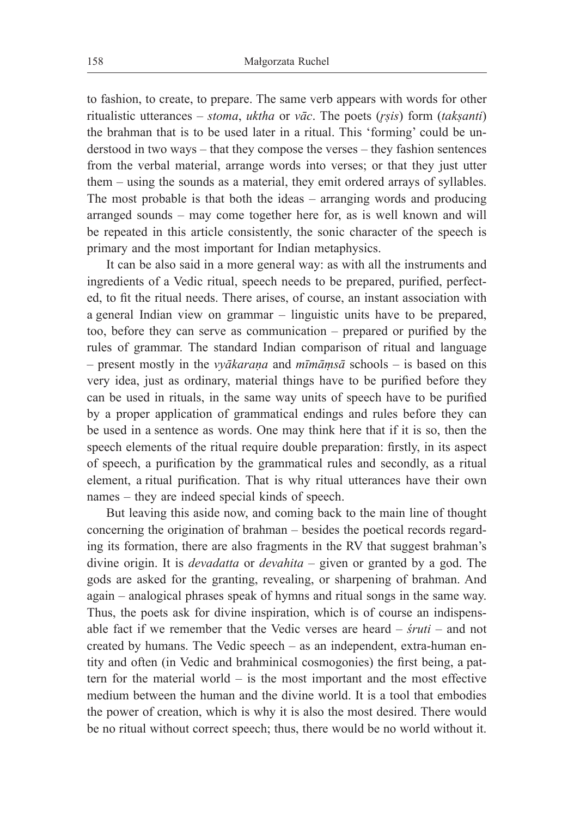to fashion, to create, to prepare. The same verb appears with words for other ritualistic utterances – *stoma*, *uktha* or *vāc*. The poets (*r̥ṣis*) form (*takṣanti*) the brahman that is to be used later in a ritual. This 'forming' could be understood in two ways – that they compose the verses – they fashion sentences from the verbal material, arrange words into verses; or that they just utter them – using the sounds as a material, they emit ordered arrays of syllables. The most probable is that both the ideas – arranging words and producing arranged sounds – may come together here for, as is well known and will be repeated in this article consistently, the sonic character of the speech is primary and the most important for Indian metaphysics.

It can be also said in a more general way: as with all the instruments and ingredients of a Vedic ritual, speech needs to be prepared, purified, perfected, to fit the ritual needs. There arises, of course, an instant association with a general Indian view on grammar – linguistic units have to be prepared, too, before they can serve as communication – prepared or purified by the rules of grammar. The standard Indian comparison of ritual and language – present mostly in the *vyākaraṇa* and *mīmāṃsā* schools – is based on this very idea, just as ordinary, material things have to be purified before they can be used in rituals, in the same way units of speech have to be purified by a proper application of grammatical endings and rules before they can be used in a sentence as words. One may think here that if it is so, then the speech elements of the ritual require double preparation: firstly, in its aspect of speech, a purification by the grammatical rules and secondly, as a ritual element, a ritual purification. That is why ritual utterances have their own names – they are indeed special kinds of speech.

But leaving this aside now, and coming back to the main line of thought concerning the origination of brahman – besides the poetical records regarding its formation, there are also fragments in the RV that suggest brahman's divine origin. It is *devadatta* or *devahita* – given or granted by a god. The gods are asked for the granting, revealing, or sharpening of brahman. And again – analogical phrases speak of hymns and ritual songs in the same way. Thus, the poets ask for divine inspiration, which is of course an indispensable fact if we remember that the Vedic verses are heard – *śruti* – and not created by humans. The Vedic speech – as an independent, extra-human entity and often (in Vedic and brahminical cosmogonies) the first being, a pattern for the material world – is the most important and the most effective medium between the human and the divine world. It is a tool that embodies the power of creation, which is why it is also the most desired. There would be no ritual without correct speech; thus, there would be no world without it.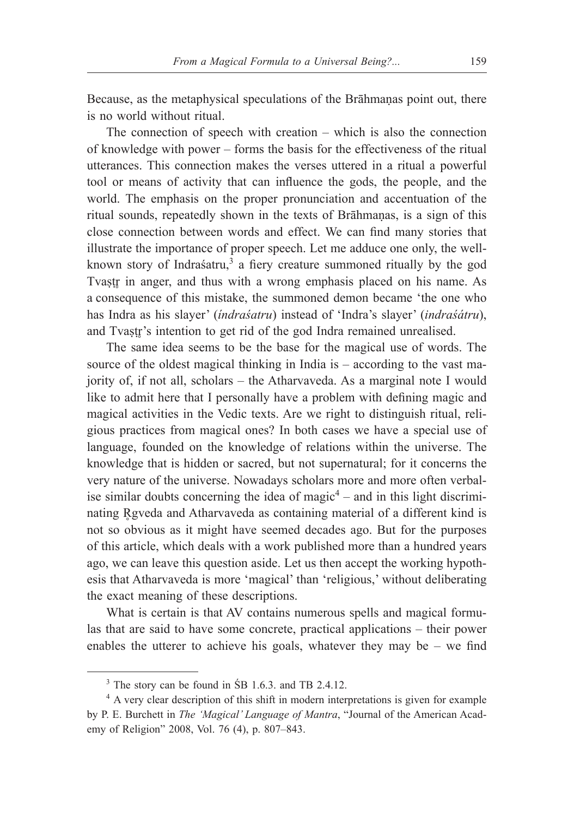Because, as the metaphysical speculations of the Brāhmaṇas point out, there is no world without ritual.

The connection of speech with creation – which is also the connection of knowledge with power – forms the basis for the effectiveness of the ritual utterances. This connection makes the verses uttered in a ritual a powerful tool or means of activity that can influence the gods, the people, and the world. The emphasis on the proper pronunciation and accentuation of the ritual sounds, repeatedly shown in the texts of Brāhmaṇas, is a sign of this close connection between words and effect. We can find many stories that illustrate the importance of proper speech. Let me adduce one only, the wellknown story of Indraśatru,<sup>3</sup> a fiery creature summoned ritually by the god Tvastr in anger, and thus with a wrong emphasis placed on his name. As a consequence of this mistake, the summoned demon became 'the one who has Indra as his slayer' (*índraśatru*) instead of 'Indra's slayer' (*indraśátru*), and Tvastr's intention to get rid of the god Indra remained unrealised.

The same idea seems to be the base for the magical use of words. The source of the oldest magical thinking in India is – according to the vast majority of, if not all, scholars – the Atharvaveda. As a marginal note I would like to admit here that I personally have a problem with defining magic and magical activities in the Vedic texts. Are we right to distinguish ritual, religious practices from magical ones? In both cases we have a special use of language, founded on the knowledge of relations within the universe. The knowledge that is hidden or sacred, but not supernatural; for it concerns the very nature of the universe. Nowadays scholars more and more often verbalise similar doubts concerning the idea of magic $4$  – and in this light discriminating Rgyeda and Atharvaveda as containing material of a different kind is not so obvious as it might have seemed decades ago. But for the purposes of this article, which deals with a work published more than a hundred years ago, we can leave this question aside. Let us then accept the working hypothesis that Atharvaveda is more 'magical' than 'religious,' without deliberating the exact meaning of these descriptions.

What is certain is that AV contains numerous spells and magical formulas that are said to have some concrete, practical applications – their power enables the utterer to achieve his goals, whatever they may be  $-$  we find

<sup>&</sup>lt;sup>3</sup> The story can be found in S<sup>B</sup> 1.6.3. and TB 2.4.12.

<sup>&</sup>lt;sup>4</sup> A very clear description of this shift in modern interpretations is given for example by P. E. Burchett in *The 'Magical' Language of Mantra*, "Journal of the American Academy of Religion" 2008, Vol. 76 (4), p. 807–843.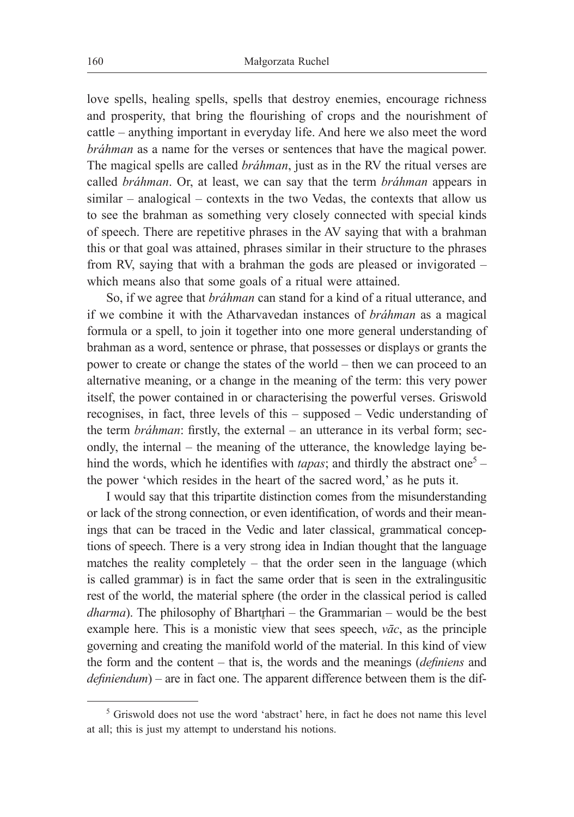love spells, healing spells, spells that destroy enemies, encourage richness and prosperity, that bring the flourishing of crops and the nourishment of cattle – anything important in everyday life. And here we also meet the word *bráhman* as a name for the verses or sentences that have the magical power. The magical spells are called *bráhman*, just as in the RV the ritual verses are called *bráhman*. Or, at least, we can say that the term *bráhman* appears in similar – analogical – contexts in the two Vedas, the contexts that allow us to see the brahman as something very closely connected with special kinds of speech. There are repetitive phrases in the AV saying that with a brahman this or that goal was attained, phrases similar in their structure to the phrases from RV, saying that with a brahman the gods are pleased or invigorated – which means also that some goals of a ritual were attained.

So, if we agree that *bráhman* can stand for a kind of a ritual utterance, and if we combine it with the Atharvavedan instances of *bráhman* as a magical formula or a spell, to join it together into one more general understanding of brahman as a word, sentence or phrase, that possesses or displays or grants the power to create or change the states of the world – then we can proceed to an alternative meaning, or a change in the meaning of the term: this very power itself, the power contained in or characterising the powerful verses. Griswold recognises, in fact, three levels of this – supposed – Vedic understanding of the term *bráhman*: firstly, the external – an utterance in its verbal form; secondly, the internal – the meaning of the utterance, the knowledge laying behind the words, which he identifies with *tapas*; and thirdly the abstract one<sup>5</sup> – the power 'which resides in the heart of the sacred word,' as he puts it.

I would say that this tripartite distinction comes from the misunderstanding or lack of the strong connection, or even identification, of words and their meanings that can be traced in the Vedic and later classical, grammatical conceptions of speech. There is a very strong idea in Indian thought that the language matches the reality completely – that the order seen in the language (which is called grammar) is in fact the same order that is seen in the extralingusitic rest of the world, the material sphere (the order in the classical period is called *dharma*). The philosophy of Bhartrhari – the Grammarian – would be the best example here. This is a monistic view that sees speech, *vāc*, as the principle governing and creating the manifold world of the material. In this kind of view the form and the content – that is, the words and the meanings (*definiens* and *definiendum*) – are in fact one. The apparent difference between them is the dif-

<sup>&</sup>lt;sup>5</sup> Griswold does not use the word 'abstract' here, in fact he does not name this level at all; this is just my attempt to understand his notions.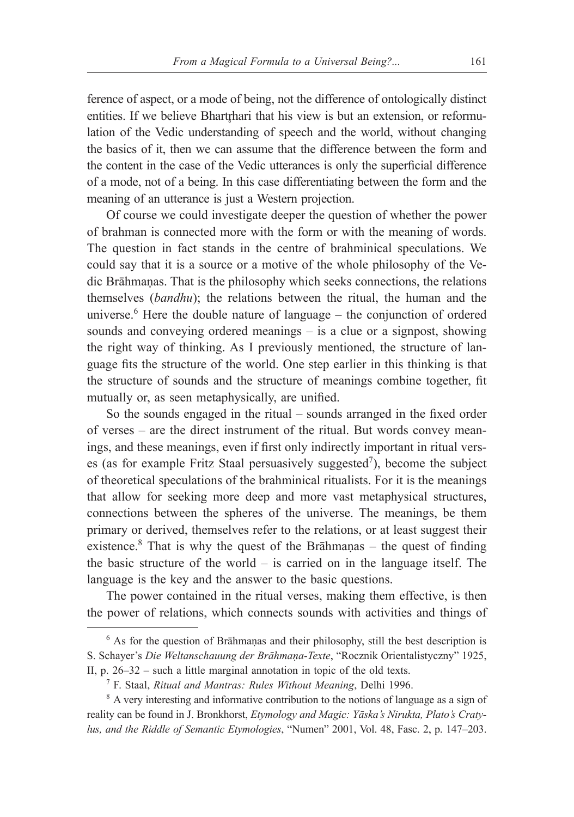ference of aspect, or a mode of being, not the difference of ontologically distinct entities. If we believe Bhartrhari that his view is but an extension, or reformulation of the Vedic understanding of speech and the world, without changing the basics of it, then we can assume that the difference between the form and the content in the case of the Vedic utterances is only the superficial difference of a mode, not of a being. In this case differentiating between the form and the meaning of an utterance is just a Western projection.

Of course we could investigate deeper the question of whether the power of brahman is connected more with the form or with the meaning of words. The question in fact stands in the centre of brahminical speculations. We could say that it is a source or a motive of the whole philosophy of the Vedic Brāhmaṇas. That is the philosophy which seeks connections, the relations themselves (*bandhu*); the relations between the ritual, the human and the universe.<sup>6</sup> Here the double nature of language – the conjunction of ordered sounds and conveying ordered meanings – is a clue or a signpost, showing the right way of thinking. As I previously mentioned, the structure of language fits the structure of the world. One step earlier in this thinking is that the structure of sounds and the structure of meanings combine together, fit mutually or, as seen metaphysically, are unified.

So the sounds engaged in the ritual – sounds arranged in the fixed order of verses – are the direct instrument of the ritual. But words convey meanings, and these meanings, even if first only indirectly important in ritual verses (as for example Fritz Staal persuasively suggested<sup>7</sup>), become the subject of theoretical speculations of the brahminical ritualists. For it is the meanings that allow for seeking more deep and more vast metaphysical structures, connections between the spheres of the universe. The meanings, be them primary or derived, themselves refer to the relations, or at least suggest their existence.<sup>8</sup> That is why the quest of the Brāhmaṇas – the quest of finding the basic structure of the world – is carried on in the language itself. The language is the key and the answer to the basic questions.

The power contained in the ritual verses, making them effective, is then the power of relations, which connects sounds with activities and things of

<sup>&</sup>lt;sup>6</sup> As for the question of Brāhmaṇas and their philosophy, still the best description is S. Schayer's *Die Weltanschauung der Brāhmaṇa-Texte*, "Rocznik Orientalistyczny" 1925, II, p. 26–32 – such a little marginal annotation in topic of the old texts.

<sup>7</sup> F. Staal, *Ritual and Mantras: Rules Without Meaning*, Delhi 1996.

<sup>&</sup>lt;sup>8</sup> A very interesting and informative contribution to the notions of language as a sign of reality can be found in J. Bronkhorst, *Etymology and Magic: Yāska's Nirukta, Plato's Cratylus, and the Riddle of Semantic Etymologies*, "Numen" 2001, Vol. 48, Fasc. 2, p. 147–203.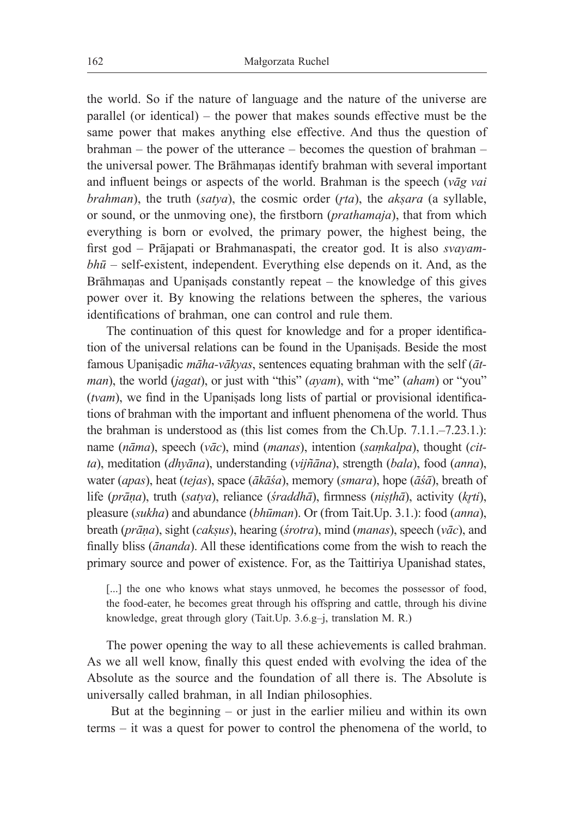the world. So if the nature of language and the nature of the universe are parallel (or identical) – the power that makes sounds effective must be the same power that makes anything else effective. And thus the question of brahman – the power of the utterance – becomes the question of brahman – the universal power. The Brāhmaṇas identify brahman with several important and influent beings or aspects of the world. Brahman is the speech (*vāg vai brahman*), the truth (*satya*), the cosmic order (*r̥ta*), the *akṣara* (a syllable, or sound, or the unmoving one), the firstborn (*prathamaja*), that from which everything is born or evolved, the primary power, the highest being, the first god – Prājapati or Brahmanaspati, the creator god. It is also *svayambhū* – self-existent, independent. Everything else depends on it. And, as the Brāhmaṇas and Upaniṣads constantly repeat – the knowledge of this gives power over it. By knowing the relations between the spheres, the various identifications of brahman, one can control and rule them.

The continuation of this quest for knowledge and for a proper identification of the universal relations can be found in the Upaniṣads. Beside the most famous Upaniṣadic *māha-vākyas*, sentences equating brahman with the self (*ātman*), the world (*jagat*), or just with "this" (*ayam*), with "me" (*aham*) or "you" (*tvam*), we find in the Upaniṣads long lists of partial or provisional identifications of brahman with the important and influent phenomena of the world. Thus the brahman is understood as (this list comes from the Ch.Up. 7.1.1.–7.23.1.): name (*nāma*), speech (*vāc*), mind (*manas*), intention (*saṃkalpa*), thought (*citta*), meditation (*dhyāna*), understanding (*vijñāna*), strength (*bala*), food (*anna*), water (*apas*), heat (*tejas*), space (*ākāśa*), memory (*smara*), hope (*āśā*), breath of life (*prāṇa*), truth (*satya*), reliance (*śraddhā*), firmness (*niṣṭhā*), activity (*kr̥ti*), pleasure (*sukha*) and abundance (*bhūman*). Or (from Tait.Up. 3.1.): food (*anna*), breath (*prāṇa*), sight (*cakṣus*), hearing (*śrotra*), mind (*manas*), speech (*vāc*), and finally bliss (*ānanda*). All these identifications come from the wish to reach the primary source and power of existence. For, as the Taittiriya Upanishad states,

[...] the one who knows what stays unmoved, he becomes the possessor of food, the food-eater, he becomes great through his offspring and cattle, through his divine knowledge, great through glory (Tait.Up. 3.6.g–j, translation M. R.)

The power opening the way to all these achievements is called brahman. As we all well know, finally this quest ended with evolving the idea of the Absolute as the source and the foundation of all there is. The Absolute is universally called brahman, in all Indian philosophies.

 But at the beginning – or just in the earlier milieu and within its own terms – it was a quest for power to control the phenomena of the world, to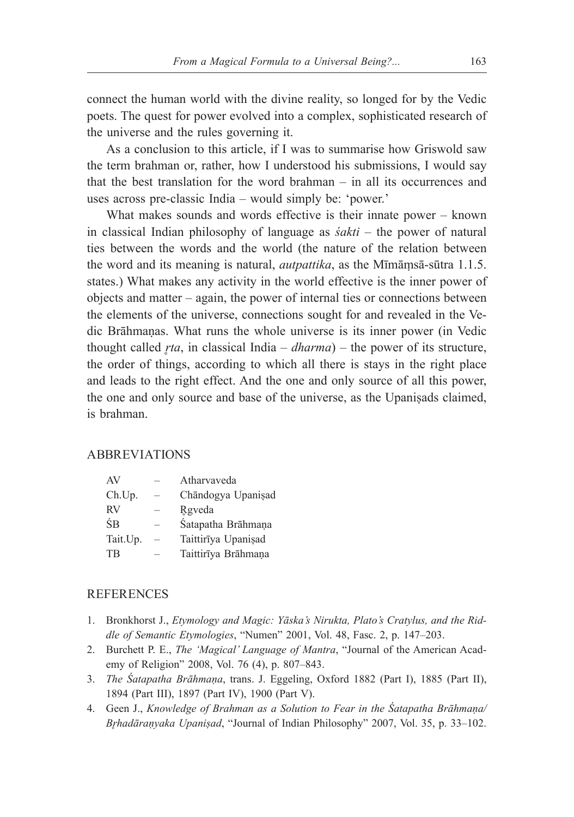connect the human world with the divine reality, so longed for by the Vedic poets. The quest for power evolved into a complex, sophisticated research of the universe and the rules governing it.

As a conclusion to this article, if I was to summarise how Griswold saw the term brahman or, rather, how I understood his submissions, I would say that the best translation for the word brahman – in all its occurrences and uses across pre-classic India – would simply be: 'power.'

What makes sounds and words effective is their innate power – known in classical Indian philosophy of language as *śakti* – the power of natural ties between the words and the world (the nature of the relation between the word and its meaning is natural, *autpattika*, as the Mīmāṃsā-sūtra 1.1.5. states.) What makes any activity in the world effective is the inner power of objects and matter – again, the power of internal ties or connections between the elements of the universe, connections sought for and revealed in the Vedic Brāhmaṇas. What runs the whole universe is its inner power (in Vedic thought called *r̥ta*, in classical India – *dharma*) – the power of its structure, the order of things, according to which all there is stays in the right place and leads to the right effect. And the one and only source of all this power, the one and only source and base of the universe, as the Upaniṣads claimed, is brahman.

## ABBREVIATIONS

| AV       |                          | Atharvaveda         |
|----------|--------------------------|---------------------|
| Ch.Up.   |                          | Chāndogya Upanisad  |
| RV       |                          | Rgyeda              |
| ŚВ       |                          | Śatapatha Brāhmaņa  |
| Tait.Up. | $\overline{\phantom{0}}$ | Taittirīya Upanişad |
| TB       |                          | Taittirīya Brāhmaņa |

#### **REFERENCES**

- 1. Bronkhorst J., *Etymology and Magic: Yāska's Nirukta, Plato's Cratylus, and the Riddle of Semantic Etymologies*, "Numen" 2001, Vol. 48, Fasc. 2, p. 147–203.
- 2. Burchett P. E., *The 'Magical' Language of Mantra*, "Journal of the American Academy of Religion" 2008, Vol. 76 (4), p. 807–843.
- 3. *The Śatapatha Brāhmaṇa*, trans. J. Eggeling, Oxford 1882 (Part I), 1885 (Part II), 1894 (Part III), 1897 (Part IV), 1900 (Part V).
- 4. Geen J., *Knowledge of Brahman as a Solution to Fear in the Śatapatha Brāhmaṇa/ Br̥hadāraṇyaka Upaniṣad*, "Journal of Indian Philosophy" 2007, Vol. 35, p. 33–102.